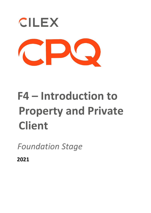

## **F4 – Introduction to Property and Private Client**

*Foundation Stage* 

**2021**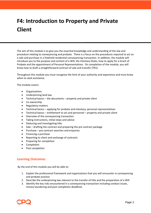## **F4: Introduction to Property and Private Client**

The aim of this module is to give you the essential knowledge and understanding of the law and procedure relating to conveyancing and probate. There is a focus on the procedures required to act on a sale and purchase in a freehold residential conveyancing transaction. In addition, the module will introduce you to the purpose and content of a Will, the Intestacy Rules, how to apply for a Grant of Probate and the appointment of Personal Representatives. On completion of the module, you will know how to draft a straightforward contract of sale and transfer (TR1).

Throughout this module you must recognise the limit of your authority and experience and must know when to seek assistance.

The module covers:

- Organisations
- Underpinning land law
- $\bullet$  Technical basics the documents property and private client
- Co-ownership
- Regulatory matters
- Technical basics applying for probate and intestacy; personal representatives
- Technical basics entitlement to act and personnel property and private client
- Overview of the conveyancing transaction
- Taking instructions, initial steps and advice
- Deducing and investigating title
- Sale drafting the contract and preparing the pre contract package
- Purchase pre contract searches and enquiries
- Financing a purchase
- Reporting to client and exchange of contracts
- Preparing for completion
- **Completion**
- Post completion

## **Learning Outcomes**

By the end of this module you will be able to:

- 1. Explain the professional framework and organisations that you will encounter in conveyancing and probate practice
- 2. Describe the underpinning law relevant to the transfer of title and the preparation of a Will
- 3. Identify the key risks encountered in a conveyancing transaction including conduct issues, money laundering and post completion deadlines

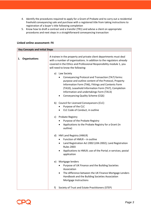- 4. Identify the procedures required to apply for a Grant of Probate and to carry out a residential freehold conveyancing sale and purchase with a registered title from taking instructions to registration of a buyer's title following completion
- 5. Know how to draft a contract and a transfer (TR1) and advise a client on appropriate procedures and next steps in a straightforward conveyancing transaction

| <b>Key Concepts and Initial Steps</b> |                      |                                                                                                                                                                                                                                                                                                                              |
|---------------------------------------|----------------------|------------------------------------------------------------------------------------------------------------------------------------------------------------------------------------------------------------------------------------------------------------------------------------------------------------------------------|
| 1.                                    | <b>Organisations</b> | A trainee in the property and private client departments must deal<br>with a number of organisations. In addition to the regulators already<br>covered in the Ethics and Professional Responsibility module 1, you<br>will need to know the following:                                                                       |
|                                       |                      | a) Law Society<br>Conveyancing Protocol and Transaction (TA7) forms:<br>purpose and outline content of the Protocol, Property<br>Information Form (TA6), Fittings and Contents Form<br>(TA10), Leasehold Information Form (TA7), Completion<br>Information and undertakings Form (TA13)<br>Conveyancing Quality Scheme (CQS) |
|                                       |                      | b) Council for Licensed Conveyancers (CLC)<br>Purpose of the CLC<br>CLC Code of Conduct, in outline                                                                                                                                                                                                                          |
|                                       |                      | c) Probate Registry<br>Purpose of the Probate Registry<br>Applications to the Probate Registry for a Grant (in<br>٠<br>outline)                                                                                                                                                                                              |
|                                       |                      | d) HM Land Registry (HMLR)<br>Function of HMLR - in outline<br>Land Registration Act 2002 (LRA 2002); Land Registration<br>٠<br><b>Rules 2003</b><br>Applications to HMLR; use of the Portal; e-services; postal<br>application                                                                                              |
|                                       |                      | e) Mortgage lenders<br>Purpose of UK Finance and the Building Societies<br>Association<br>The difference between the UK Finance Mortgage Lenders<br>٠<br>Handbook and the Building Societies Association<br>Mortgage Instructions                                                                                            |
|                                       |                      | Society of Trust and Estate Practitioners (STEP)<br>f)                                                                                                                                                                                                                                                                       |

## **Linked online assessment: F4**

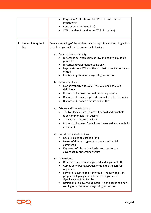|                                       | Purpose of STEP; status of STEP Trusts and Estates<br>٠<br>Practitioner<br>Code of Conduct (in outline)<br>STEP Standard Provisions for Wills (in outline)                                                                                                                                                                                                                                                                              |
|---------------------------------------|-----------------------------------------------------------------------------------------------------------------------------------------------------------------------------------------------------------------------------------------------------------------------------------------------------------------------------------------------------------------------------------------------------------------------------------------|
| <b>Underpinning land</b><br>2.<br>law | An understanding of the key land law concepts is a vital starting point.<br>Therefore, you will need to know the following:                                                                                                                                                                                                                                                                                                             |
|                                       | a) Common law and equity<br>Difference between common law and equity; equitable<br>principles<br>Historical development (outline only)<br>٠<br>Legal status of a Will and the fact that it is not a document<br>٠<br>of title<br>Equitable rights in a conveyancing transaction                                                                                                                                                         |
|                                       | b) Definition of land<br>Law of Property Act 1925 (LPA 1925) and LRA 2002<br>definitions<br>Distinction between real and personal property<br>٠<br>Distinction between legal and equitable rights - in outline<br>٠<br>Distinction between a fixture and a fitting<br>$\bullet$                                                                                                                                                         |
|                                       | Estates and interests in land<br>c)<br>The two legal estates in land - freehold and leasehold<br>(also commonhold - in outline)<br>The five legal interests in land<br>٠<br>Distinction between freehold and leasehold (commonhold<br>٠<br>in outline)                                                                                                                                                                                  |
|                                       | $d)$ Leasehold land $-$ in outline<br>Key principles of leasehold land<br>Leases of different types of property: residential,<br>٠<br>commercial<br>Key terms of a lease: landlord covenants; tenant<br>covenants; rent; term; forfeiture                                                                                                                                                                                               |
|                                       | e) Title to land<br>Difference between unregistered and registered title<br>Compulsory first registration of title; the triggers for<br>$\bullet$<br>registration<br>Format of a typical register of title - Property register,<br>proprietorship register and charges Register; the<br>significance of the title plan<br>Definition of an overriding interest; significance of a non-<br>owning occupier in a conveyancing transaction |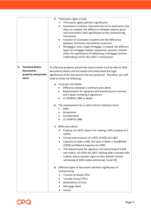|    |                                                                            | f)<br>Third party rights in land<br>Third party rights and their significance<br>Easements in outline; characteristics of an easement; how<br>they are created; the difference between express grant<br>and reservation; their significance to the conveyancing<br>transaction<br>Creation of covenants in outline and the difference<br>between restrictive and positive covenants<br>Mortgages; how a legal mortgage is created; the different<br>$\bullet$<br>types of mortgage (capital, repayment, pension, interest<br>only); the significance of redeeming a mortgage and the<br>undertaking risk for the seller's conveyancer |
|----|----------------------------------------------------------------------------|---------------------------------------------------------------------------------------------------------------------------------------------------------------------------------------------------------------------------------------------------------------------------------------------------------------------------------------------------------------------------------------------------------------------------------------------------------------------------------------------------------------------------------------------------------------------------------------------------------------------------------------|
| 3. | <b>Technical basics.</b><br>Documents: -<br>property and private<br>client | An effective property and private client trainee must be able to draft<br>documents clearly and accurately and understand the legal<br>significance of the documents that are produced. Therefore, you will<br>need to know the following:<br>Contracts and deeds<br>a)                                                                                                                                                                                                                                                                                                                                                               |
|    |                                                                            | Difference between a contract and a deed<br>Requirements for signature and witnessing of a contract<br>$\bullet$<br>and a deed; including e-signatures<br>s1 LP(MP)A 1989 re deeds                                                                                                                                                                                                                                                                                                                                                                                                                                                    |
|    |                                                                            | b) The requirements for a valid contract relating to land<br>Offer<br>Acceptance<br>Consideration<br>s2 LP(MP)A 1989                                                                                                                                                                                                                                                                                                                                                                                                                                                                                                                  |
|    |                                                                            | Wills and codicils<br>C)<br>Purpose of a Will; reasons for making a Will; purpose of a<br>codicil<br>Format and structure of a Will; s9 Wills Act 1837<br>٠<br>Capacity to make a Will; the tests in Banks v Goodfellow<br>[1870] and Mental Capacity Act 2005<br>The requirements for signature and witnessing of a Will<br>and codicil; s15 Wills Act 1837; dealing with a testator who<br>is blind, where another signs on their behalf; remote<br>witnessing of Wills (video witnessing: Covid-19)                                                                                                                                |
|    |                                                                            | Different types of document and their significance to<br>d)<br>conveyancing<br>Transfer of whole (TR1)<br>Transfer of part (TP1)<br>٠<br>Declarations of trust<br>Mortgage deed<br>Assent                                                                                                                                                                                                                                                                                                                                                                                                                                             |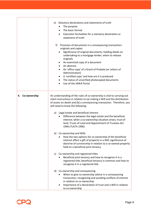|                 | e) Statutory declarations and statements of truth<br>The purpose<br>$\bullet$<br>The basic format<br>$\bullet$<br>Execution formalities for a statutory declaration or<br>statement of truth<br>Provision of documents in a conveyancing transaction-<br>f)<br>originals and copies<br>Significance of original documents; holding deeds on<br>$\bullet$<br>undertaking to a mortgage lender; when to release<br>originals<br>An examined copy of a document<br>$\bullet$<br>An abstract<br>$\bullet$<br>An 'office copy' of a Grant of Probate (or Letters of<br>$\bullet$<br>Administration)<br>A 'certified copy' and how are it is produced<br>$\bullet$<br>The status of unverified photocopied documents<br>$\bullet$<br>Use of the HMLR Portal<br>$\bullet$ |
|-----------------|--------------------------------------------------------------------------------------------------------------------------------------------------------------------------------------------------------------------------------------------------------------------------------------------------------------------------------------------------------------------------------------------------------------------------------------------------------------------------------------------------------------------------------------------------------------------------------------------------------------------------------------------------------------------------------------------------------------------------------------------------------------------|
| 4. Co-ownership | An understanding of the rules of co-ownership is vital to carrying out<br>client instructions in relation to (a) making a Will and the distribution<br>of assets on death and (b) a conveyancing transaction. Therefore, you<br>will need to know the following:                                                                                                                                                                                                                                                                                                                                                                                                                                                                                                   |
|                 | a) Legal estate and beneficial interest<br>Difference between the legal estate and the beneficial<br>interest; when a co-ownership situation arises; trust of<br>land; Trusts of Land and Appointment of Trustees Act<br>1996 (TLATA 1996)                                                                                                                                                                                                                                                                                                                                                                                                                                                                                                                         |
|                 | b) Co-ownership and Wills<br>How the two options for co-ownership of the beneficial<br>interest affect a gift of property in a Will; significance of<br>doctrine of survivorship in relation to a co-owned property<br>held on a beneficial joint tenancy                                                                                                                                                                                                                                                                                                                                                                                                                                                                                                          |
|                 | c) Co-ownership and registered titles<br>Beneficial joint tenancy and how to recognise it in a<br>registered title; beneficial tenancy in common and how to<br>recognise it in a registered title                                                                                                                                                                                                                                                                                                                                                                                                                                                                                                                                                                  |
|                 | d) Co-ownership and conveyancing<br>When to give co-ownership advice in a conveyancing<br>transaction; recognising and avoiding conflicts of interest<br>in relation to co-ownership<br>Importance of a declaration of trust and a Will in relation<br>to co-ownership                                                                                                                                                                                                                                                                                                                                                                                                                                                                                             |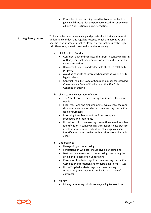|    |                           | Principles of overreaching; need for trustees of land to<br>$\bullet$<br>give a valid receipt for the purchase; need to comply with<br>a Form A restriction in a registered title                                                                                                                                                                                                                                                                                                                                                                                                                                                                        |
|----|---------------------------|----------------------------------------------------------------------------------------------------------------------------------------------------------------------------------------------------------------------------------------------------------------------------------------------------------------------------------------------------------------------------------------------------------------------------------------------------------------------------------------------------------------------------------------------------------------------------------------------------------------------------------------------------------|
| 5. | <b>Regulatory matters</b> | To be an effective conveyancing and private client trainee you must<br>understand conduct and regulatory issues which are pervasive and<br>specific to your area of practice. Property transactions involve high<br>risk. Therefore, you will need to know the following:                                                                                                                                                                                                                                                                                                                                                                                |
|    |                           | <b>CILEX Code of Conduct</b><br>a)<br>Confidentiality and conflicts of interest in conveyancing (in<br>outline); contract races; acting for buyer and seller in the<br>same transaction<br>Dealing with elderly and vulnerable clients in relation to<br>٠<br>property<br>Avoiding conflicts of interest when drafting Wills; gifts to<br>legal advisers<br>Contrast the CILEX Code of Conduct, Council for Licensed<br>Conveyancers Code of Conduct and the SRA Code of                                                                                                                                                                                 |
|    |                           | Conduct, in outline<br>Client care and client identification<br>b)<br>The 'client care' letter; ensuring that it meets the client's<br>٠<br>needs<br>Legal fees, VAT and disbursements; typical legal fees and<br>disbursements on a residential conveyancing transaction<br>(sale or purchase)<br>Informing the client about the firm's complaints<br>procedure and their rights<br>Risk of fraud in conveyancing transactions; need for client<br>٠<br>identification in conveyancing transactions; best practice<br>in relation to client identification; challenges of client<br>identification when dealing with an elderly or vulnerable<br>client |
|    |                           | Undertakings<br>C)<br>Recognising an undertaking<br>Limitations on who can/should give an undertaking<br>Best practice in relation to undertakings; recording the<br>giving and release of an undertaking<br>Examples of undertakings in a conveyancing transaction;<br>$\bullet$<br>Completion Information and Undertakings Form (TA13)<br>Risk of implied undertakings in a conveyancing<br>transaction; relevance to formulae for exchange of<br>contracts<br>d)<br>Money                                                                                                                                                                             |
|    |                           | Money laundering risks in conveyancing transactions                                                                                                                                                                                                                                                                                                                                                                                                                                                                                                                                                                                                      |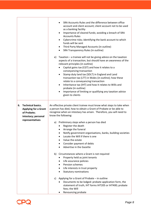|    |                                            | SRA Accounts Rules and the difference between office<br>account and client account; client account not to be used<br>as a banking facility<br>Importance of cleared funds; avoiding a breach of SRA<br><b>Accounts Rules</b><br>Cybercrime risks; identifying the bank account to which<br>$\bullet$<br>funds will be sent<br>Third Party Managed Accounts (in outline)<br>$\bullet$<br>SRA Transparency Rules (in outline)<br>e) Taxation $-$ a trainee will not be giving advice on the taxation<br>aspects of a transaction, but should have an awareness of the<br>relevant principles (in outline)<br>Capital gains tax (CGT) and how it relates to a<br>conveyancing transaction<br>Stamp duty land tax (SDLT) in England and Land<br>٠<br>transaction tax (LTT) in Wales (in outline); how these<br>relate to a conveyancing transaction<br>Inheritance tax (IHT) and how it relates to Wills and<br>$\bullet$<br>probate (in outline)<br>Importance of limiting or qualifying any taxation advice<br>given to clients |
|----|--------------------------------------------|-------------------------------------------------------------------------------------------------------------------------------------------------------------------------------------------------------------------------------------------------------------------------------------------------------------------------------------------------------------------------------------------------------------------------------------------------------------------------------------------------------------------------------------------------------------------------------------------------------------------------------------------------------------------------------------------------------------------------------------------------------------------------------------------------------------------------------------------------------------------------------------------------------------------------------------------------------------------------------------------------------------------------------|
| 6. | <b>Technical basics.</b>                   | An effective private client trainee must know what steps to take when                                                                                                                                                                                                                                                                                                                                                                                                                                                                                                                                                                                                                                                                                                                                                                                                                                                                                                                                                         |
|    | <b>Applying for a Grant</b><br>of Probate; | a person has died, how to obtain a Grant of Probate or be able to<br>recognise when an intestacy has arisen. Therefore, you will need to<br>know the following:                                                                                                                                                                                                                                                                                                                                                                                                                                                                                                                                                                                                                                                                                                                                                                                                                                                               |
|    | intestacy; personal<br>representatives     |                                                                                                                                                                                                                                                                                                                                                                                                                                                                                                                                                                                                                                                                                                                                                                                                                                                                                                                                                                                                                               |
|    |                                            | Preliminary steps when a person has died<br>a)<br>Register the death                                                                                                                                                                                                                                                                                                                                                                                                                                                                                                                                                                                                                                                                                                                                                                                                                                                                                                                                                          |
|    |                                            | Arrange the funeral                                                                                                                                                                                                                                                                                                                                                                                                                                                                                                                                                                                                                                                                                                                                                                                                                                                                                                                                                                                                           |
|    |                                            | Notify government organisations, banks, building societies<br>Locate the Will if there is one                                                                                                                                                                                                                                                                                                                                                                                                                                                                                                                                                                                                                                                                                                                                                                                                                                                                                                                                 |
|    |                                            | Value the estate                                                                                                                                                                                                                                                                                                                                                                                                                                                                                                                                                                                                                                                                                                                                                                                                                                                                                                                                                                                                              |
|    |                                            | Consider payment of debts<br>Advertise in the Gazette                                                                                                                                                                                                                                                                                                                                                                                                                                                                                                                                                                                                                                                                                                                                                                                                                                                                                                                                                                         |
|    |                                            | Circumstances where a Grant is not required<br>b)                                                                                                                                                                                                                                                                                                                                                                                                                                                                                                                                                                                                                                                                                                                                                                                                                                                                                                                                                                             |
|    |                                            | Property held as joint tenants                                                                                                                                                                                                                                                                                                                                                                                                                                                                                                                                                                                                                                                                                                                                                                                                                                                                                                                                                                                                |
|    |                                            | Life assurance policies<br>$\bullet$                                                                                                                                                                                                                                                                                                                                                                                                                                                                                                                                                                                                                                                                                                                                                                                                                                                                                                                                                                                          |
|    |                                            | Pension schemes<br>Life interests in trust property                                                                                                                                                                                                                                                                                                                                                                                                                                                                                                                                                                                                                                                                                                                                                                                                                                                                                                                                                                           |
|    |                                            | <b>Statutory nominations</b>                                                                                                                                                                                                                                                                                                                                                                                                                                                                                                                                                                                                                                                                                                                                                                                                                                                                                                                                                                                                  |
|    |                                            | Applying for a Grant of Probate - in outline<br>C)                                                                                                                                                                                                                                                                                                                                                                                                                                                                                                                                                                                                                                                                                                                                                                                                                                                                                                                                                                            |
|    |                                            | Documents to be lodged: probate application form, the<br>statement of truth, IHT forms IHT205 or IHT400; probate<br>fees; the Will                                                                                                                                                                                                                                                                                                                                                                                                                                                                                                                                                                                                                                                                                                                                                                                                                                                                                            |
|    |                                            | Renouncing probate                                                                                                                                                                                                                                                                                                                                                                                                                                                                                                                                                                                                                                                                                                                                                                                                                                                                                                                                                                                                            |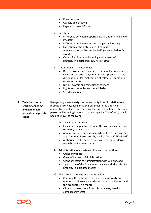|                                                                                                                   | Power reserved<br>٠<br>Caveats and citations<br>Payment of any IHT due<br>d)<br>Intestacy<br>Difference between property passing under a Will and on<br>intestacy<br>Difference between intestacy and partial intestacy<br>٠<br>Operation of the statutory trust of land; s 33<br>٠<br>Administration of Estates Act 1925 (as amended) (AEA<br>1925)<br>Order of entitlement; including entitlement of<br>spouses/civil partners; s46(2A) AEA 1925<br>e) Duties, Powers and Remedies |
|-------------------------------------------------------------------------------------------------------------------|--------------------------------------------------------------------------------------------------------------------------------------------------------------------------------------------------------------------------------------------------------------------------------------------------------------------------------------------------------------------------------------------------------------------------------------------------------------------------------------|
|                                                                                                                   | Duties, powers and remedies of personal representatives;<br>collecting of assets, payment of debts, payment of tax,<br>distribution of tax, distribution of estate, preparation of<br>estate accounts<br>Duties, powers and remedies of trustees<br>٠<br>Rights and remedies and beneficiaries<br>Self-dealing rule                                                                                                                                                                  |
| <b>Technical basics.</b><br>7.<br><b>Entitlement to act</b><br>and personnel: -<br>property and private<br>client | Recognising when a party has the authority to act in relation to a<br>probate or conveyancing matter is essential to the effective<br>administration of an estate or conveyancing transaction. Often, one<br>person will be acting in more than one capacity. Therefore, you will<br>need to know the following:<br>a) Personal Representatives<br>Executors - appointment under the Will - executors; power<br>reserved; renunciation                                               |
|                                                                                                                   | Administrators - appointment where there is no Will or<br>appointment of executors by a Will; r 20 or 22 NCPR 1987<br>Authority to act - derives from Will if executor; derives<br>from Grant if administrator                                                                                                                                                                                                                                                                       |
|                                                                                                                   | b) Administration of an estate - different types of Grant<br><b>Grant of Probate</b><br><b>Grant of Letters of Administration</b><br>Grant of Letters of Administration with Will annexed<br>Significance of the Grant when dealing with the sale of a<br>property in a probate matter                                                                                                                                                                                               |
|                                                                                                                   | The seller in a conveyancing transaction<br>C)<br>Checking the seller is the owner of the property and<br>entitled to sell - considered in relation to registered land;<br>the proprietorship register<br>Obtaining instructions from all co-owners; avoiding<br>conflicts of interest                                                                                                                                                                                               |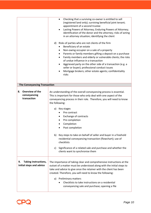|                                                        | Checking that a surviving co-owner is entitled to sell<br>(registered land only); surviving beneficial joint tenant;<br>appointment of a second trustee<br>Lasting Powers of Attorney; Enduring Powers of Attorney;<br>٠<br>identification of the donor and the attorney; risks of acting<br>in an attorney situation; identifying the client<br>Risks of parties who are not clients of the firm<br>d)<br>Beneficiary of an estate<br>Non-owing occupier on a sale of a property<br>Parents or family members gifting a deposit on a purchase<br>Family members and elderly or vulnerable clients; the risks<br>of undue influence in a transaction<br>Aggrieved party on the other side of a transaction (e.g. a<br>$\bullet$<br>seller or buyer); professional conduct issues<br>Mortgage brokers; other estate agents; confidentiality<br>risks |
|--------------------------------------------------------|-----------------------------------------------------------------------------------------------------------------------------------------------------------------------------------------------------------------------------------------------------------------------------------------------------------------------------------------------------------------------------------------------------------------------------------------------------------------------------------------------------------------------------------------------------------------------------------------------------------------------------------------------------------------------------------------------------------------------------------------------------------------------------------------------------------------------------------------------------|
| <b>The Conveyancing Transaction</b>                    |                                                                                                                                                                                                                                                                                                                                                                                                                                                                                                                                                                                                                                                                                                                                                                                                                                                     |
| Overview of the<br>8.<br>conveyancing<br>transaction   | An understanding of the overall conveyancing process is essential.<br>This is important for those who only deal with one aspect of the<br>conveyancing process in their role. Therefore, you will need to know<br>the following:<br>a)<br>Key stages<br>Pre contract<br>Exchange of contracts<br>Pre completion<br>Completion<br>Post completion<br>b) Key steps to take on behalf of seller and buyer in a freehold<br>residential conveyancing transaction (flowchart); use of<br>checklists<br>Significance of a related sale and purchase and whether the<br>c)<br>clients want to synchronise them                                                                                                                                                                                                                                             |
| Taking instructions,<br>9.<br>initial steps and advice | The importance of taking clear and comprehensive instructions at the<br>outset of a matter must be understood along with the initial steps to<br>take and advice to give once the retainer with the client has been<br>created. Therefore, you will need to know the following:<br>a) Preliminary matters<br>Checklists to take instructions on a residential<br>conveyancing sale and purchase; opening a file                                                                                                                                                                                                                                                                                                                                                                                                                                     |

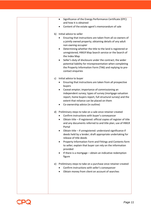|    | Significance of the Energy Performance Certificate (EPC)<br>٠<br>and how it is obtained<br>Content of the estate agent's memorandum of sale                                                                                                                       |
|----|-------------------------------------------------------------------------------------------------------------------------------------------------------------------------------------------------------------------------------------------------------------------|
|    |                                                                                                                                                                                                                                                                   |
| b) | Initial advice to seller<br>Ensuring that instructions are taken from all co-owners of<br>a jointly owned property; obtaining details of any adult                                                                                                                |
|    | non-owning occupier<br>Determining whether the title to the land is registered or<br>٠<br>unregistered; HMLR Map Search service or the Search of<br>the Index Map                                                                                                 |
|    | Seller's duty of disclosure under the contract; the wider<br>٠<br>potential liability for misrepresentation when completing<br>the Property Information Form (TA6) and replying to pre-<br>contact enquiries                                                      |
| c) | Initial advice to buyer                                                                                                                                                                                                                                           |
|    | Ensuring that instructions are taken from all prospective<br>٠<br>buyers                                                                                                                                                                                          |
|    | Caveat emptor; importance of commissioning an<br>٠<br>independent survey; types of survey (mortgage valuation<br>report, home buyers report, full structural survey) and the<br>extent that reliance can be placed on them<br>Co-ownership advice (in outline)    |
| d) | Preliminary steps to take on a sale once retainer created<br>Confirm instructions with buyer's conveyancer<br>٠<br>Obtain title - if registered: official copies of register of title<br>٠<br>and any documents referred to and title plan; use of HMLR<br>Portal |
|    | Obtain title - if unregistered: understand significance if<br>deeds held by a lender; draft appropriate undertaking for<br>release of title deeds                                                                                                                 |
|    | Property Information Form and Fittings and Contents form<br>to seller; explain that buyer can rely on the information<br>provided                                                                                                                                 |
|    | If there is a mortgage - obtain an indicative redemption<br>figure                                                                                                                                                                                                |
|    | e) Preliminary steps to take on a purchase once retainer created<br>Confirm instructions with seller's conveyancer<br>Obtain money from client on account of searches<br>٠                                                                                        |
|    |                                                                                                                                                                                                                                                                   |

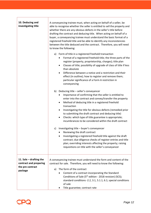| 10. Deducing and<br>investigating title                                            | A conveyancing trainee must, when acting on behalf of a seller, be<br>able to recognise whether the seller is entitled to sell the property and<br>whether there are any obvious defects in the seller's title before<br>drafting the contract and deducing title. When acting on behalf of a<br>buyer, a conveyancing trainee must understand the basic format of a<br>registered freehold title and be able to identify any inconsistencies<br>between the title deduced and the contract. Therefore, you will need<br>to know the following: |
|------------------------------------------------------------------------------------|-------------------------------------------------------------------------------------------------------------------------------------------------------------------------------------------------------------------------------------------------------------------------------------------------------------------------------------------------------------------------------------------------------------------------------------------------------------------------------------------------------------------------------------------------|
|                                                                                    | a) Form of title in a registered freehold transaction<br>Format of a registered freehold title; the three parts of the<br>register (property, proprietorship, charges); title plan<br>Classes of title; possibility of upgrade of class of title if less<br>$\bullet$<br>than absolute<br>Difference between a notice and a restriction and their<br>effect (in outline); how to register and remove them;<br>particular significance of a Form A restriction in<br>conveyancing                                                                |
|                                                                                    | Deducing title - seller's conveyancer<br>b)<br>Importance of confirming that the seller is entitled to<br>enter into the contract and convey/transfer the property<br>Method of deducing title in a registered freehold<br>$\bullet$<br>transaction<br>Investigating the title for obvious defects (remedied prior<br>to submitting the draft contract and deducing title)<br>Checks: which type of title guarantee is appropriate;<br>$\bullet$<br>incumbrances to be considered within the draft contract                                     |
|                                                                                    | Investigating title - buyer's conveyancer<br>C)<br>Reviewing the draft contract<br>Investigating a registered freehold title against the draft<br>contract; due diligence checks of register entries and title<br>plan; overriding interests affecting the property; raising<br>requisitions on title with the seller's conveyancer                                                                                                                                                                                                             |
| 11. Sale $-$ drafting the<br>contract and preparing<br>the pre contract<br>package | A conveyancing trainee must understand the form and content of the<br>contract for sale. Therefore, you will need to know the following:<br>The form of the contract<br>a)<br>Content of a contract incorporating the Standard<br>Conditions of Sale (5 <sup>th</sup> edition - 2018 revision) (SCS);<br>standard conditions -2.2, 3.1, 5.1.1, 6.1; special conditions<br>of sale<br>Title guarantee; contract rate                                                                                                                             |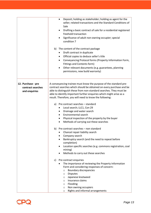|                                                          | Deposit; holding as stakeholder; holding as agent for the<br>٠<br>seller; related transactions and the Standard Conditions of<br>Sale<br>Drafting a basic contract of sale for a residential registered<br>freehold transaction<br>Significance of adult non-owning occupier; special<br>condition 7<br>b) The content of the contract package<br>Draft contract in duplicate<br>Official copies to deduce seller's title<br>$\bullet$<br>Conveyancing Protocol forms (Property Information Form,<br>٠<br>Fittings and Contents form)<br>Other relevant documents (e.g. guarantees, planning<br>$\bullet$<br>permissions, new build warranty)       |
|----------------------------------------------------------|-----------------------------------------------------------------------------------------------------------------------------------------------------------------------------------------------------------------------------------------------------------------------------------------------------------------------------------------------------------------------------------------------------------------------------------------------------------------------------------------------------------------------------------------------------------------------------------------------------------------------------------------------------|
| 12. Purchase - pre<br>contract searches<br>and enquiries | A conveyancing trainee must know the purpose of the standard pre-<br>contract searches which should be obtained on every purchase and be<br>able to distinguish these from non-standard searches. They must be<br>able to identify important further enquiries which might arise as a<br>result. Therefore, you will need to know the following:<br>a) Pre contract searches - standard<br>Local search; LLC1, Con 29<br>Drainage and water search<br>$\bullet$<br>Environmental search<br>Physical inspection of the property by the buyer<br>Methods of carrying out these searches<br>$\bullet$                                                  |
|                                                          | Pre contract searches - non standard<br>b)<br>Chancel repair liability search<br>Company search<br>Bankruptcy search (and the need to repeat before<br>completion)<br>Location specific searches (e.g. commons registration, coal<br>mining)<br>Methods to carry out these searches<br>Pre contract enquiries<br>C)<br>The importance of reviewing the Property Information<br>Form and considering responses of concern:<br><b>Boundary discrepancies</b><br>$\circ$<br><b>Disputes</b><br>O<br>Japanese knotweed<br>O<br>Insurance claims<br>O<br>Flooding<br>O<br>Non owning occupiers<br>$\circ$<br>Rights and informal arrangements<br>$\circ$ |

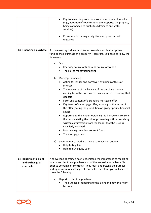|                                                         | Key issues arising from the most common search results<br>(e.g., adoption of road fronting the property; the property<br>being connected to public foul drainage and water<br>services)<br>Procedure for raising straightforward pre-contract<br>enquiries                                                       |
|---------------------------------------------------------|------------------------------------------------------------------------------------------------------------------------------------------------------------------------------------------------------------------------------------------------------------------------------------------------------------------|
| 13. Financing a purchase                                | A conveyancing trainee must know how a buyer client proposes<br>funding their purchase of a property. Therefore, you need to know the<br>following:                                                                                                                                                              |
|                                                         | a) Cash                                                                                                                                                                                                                                                                                                          |
|                                                         | Checking source of funds and source of wealth                                                                                                                                                                                                                                                                    |
|                                                         | The link to money laundering                                                                                                                                                                                                                                                                                     |
|                                                         |                                                                                                                                                                                                                                                                                                                  |
|                                                         | Mortgage financing<br>b)<br>Acting for lender and borrower; avoiding conflicts of                                                                                                                                                                                                                                |
|                                                         | interest                                                                                                                                                                                                                                                                                                         |
|                                                         | The relevance of the balance of the purchase money                                                                                                                                                                                                                                                               |
|                                                         | coming from the borrower's own resources; risk of a gifted<br>deposit                                                                                                                                                                                                                                            |
|                                                         | Form and content of a standard mortgage offer                                                                                                                                                                                                                                                                    |
|                                                         | Key terms of a mortgage offer; advising on the terms of<br>the offer (noting the prohibition on giving specific financial<br>advice)                                                                                                                                                                             |
|                                                         | Reporting to the lender; obtaining the borrower's consent<br>first; understating the risk of proceeding without receiving<br>written confirmation from the lender that the issue is<br>satisfied / resolved                                                                                                      |
|                                                         | Non owning occupiers consent form<br>The mortgage deed                                                                                                                                                                                                                                                           |
|                                                         | Government backed assistance schemes - in outline<br>c)<br>Help to Buy ISA<br>Help to Buy Equity Loan                                                                                                                                                                                                            |
| 14. Reporting to client<br>and Exchange of<br>contracts | A conveyancing trainee must understand the importance of reporting<br>to a buyer client on a purchase and of the necessity to review a file<br>prior to exchange of contracts. They must understand the purpose<br>and significance of exchange of contracts. Therefore, you will need to<br>know the following: |
|                                                         | Report to client on purchase<br>a)<br>The purpose of reporting to the client and how this might<br>be done                                                                                                                                                                                                       |

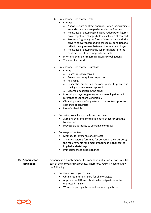|                                 | b) Pre exchange file review - sale<br>Checks:<br>Answering pre contract enquiries; when indiscriminate<br>$\circ$<br>enquiries can be disregarded under the Protocol<br>Relevance of obtaining indicative redemption figures<br>$\circ$<br>on all registered charges before exchange of contracts<br>Process of agreeing the form of the contract with the<br>$\circ$<br>buyer's conveyancer; additional special conditions to<br>reflect the agreement between the seller and buyer<br>Relevance of obtaining the seller's signature to the<br>$\circ$<br>contract prior to exchange of contracts<br>Informing the seller regarding insurance obligations<br>٠<br>The use of a checklist |
|---------------------------------|-------------------------------------------------------------------------------------------------------------------------------------------------------------------------------------------------------------------------------------------------------------------------------------------------------------------------------------------------------------------------------------------------------------------------------------------------------------------------------------------------------------------------------------------------------------------------------------------------------------------------------------------------------------------------------------------|
|                                 | c) Pre exchange file review - purchase<br>Checks<br>Search results received<br>$\circ$<br>Pre contract enquiries responses<br>$\circ$<br>$\circ$ Financing<br>Lender has authorised the conveyancer to proceed in<br>$\circ$<br>the light of any issues reported<br>Cleared deposit from the buyer<br>$\circ$<br>Informing a buyer regarding insurance obligations, with<br>٠<br>reference to Standard Condition 5<br>Obtaining the buyer's signature to the contract prior to<br>$\bullet$<br>exchange of contracts<br>Use of a checklist                                                                                                                                                |
|                                 | d) Preparing to exchange - sale and purchase<br>Agreeing the same completion date; synchronizing the<br>transactions<br>Irrevocable authority to exchange contracts<br>٠                                                                                                                                                                                                                                                                                                                                                                                                                                                                                                                  |
|                                 | e) Exchange of contracts<br>Methods for exchange of contracts<br>The Law Society's formulae for exchange; their purpose;<br>$\bullet$<br>the requirements for a memorandum of exchange; the<br>implied undertakings<br>Immediate steps post exchange                                                                                                                                                                                                                                                                                                                                                                                                                                      |
| 15. Preparing for<br>completion | Preparing in a timely manner for completion of a transaction is a vital<br>part of the conveyancing process. Therefore, you will need to know<br>the following:                                                                                                                                                                                                                                                                                                                                                                                                                                                                                                                           |
|                                 | a) Preparing to complete - sale<br>Obtain redemption figure for all mortgages<br>Approve the TR1 and obtain seller's signature to the<br>engrossed transfer<br>Witnessing of signatures and use of e-signatures                                                                                                                                                                                                                                                                                                                                                                                                                                                                           |

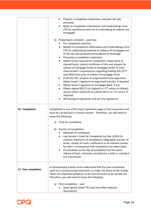|                     | Prepare a completion statement; calculate net sale<br>proceeds<br>Reply to Completion Information and Undertakings Form<br>(TA13); significance and risk of undertaking to redeem any<br>mortgages<br>b)<br>Preparing to complete - purchase<br>Pre completion searches<br>Replies to Completion Information and Undertakings Form<br>(TA13); undertaking received to redeem all mortgages out<br>of the net sale proceeds and evidence of discharge<br>Preparing a completion statement<br>Obtain funds required for completion; importance of<br>cleared funds; submit certificate of title and request for<br>release of mortgage funds to mortgage lender (if any);<br>check lender's requirements regarding holding SDLT/LTT<br>and HMLR fees prior to release of mortgage funds<br>Draft the TR1; prepare an engrossment once approved;<br>٠<br>obtain buyer's signature to engrossed transfer, if required<br>Obtain buyer's signature to mortgage deed, if any<br>Obtain signed SDLT1 (in England) or LTT return (in Wales);<br>$\bullet$<br>secure client's authority to submit SDLT1 or LTT return, if<br>required |
|---------------------|------------------------------------------------------------------------------------------------------------------------------------------------------------------------------------------------------------------------------------------------------------------------------------------------------------------------------------------------------------------------------------------------------------------------------------------------------------------------------------------------------------------------------------------------------------------------------------------------------------------------------------------------------------------------------------------------------------------------------------------------------------------------------------------------------------------------------------------------------------------------------------------------------------------------------------------------------------------------------------------------------------------------------------------------------------------------------------------------------------------------------|
|                     | Witnessing of signatures and use of e-signatures                                                                                                                                                                                                                                                                                                                                                                                                                                                                                                                                                                                                                                                                                                                                                                                                                                                                                                                                                                                                                                                                             |
| 16. Completion      | Completion is one of the most important stages in the transaction and<br>must be carried out in a timely manner. Therefore, you will need to<br>know the following:                                                                                                                                                                                                                                                                                                                                                                                                                                                                                                                                                                                                                                                                                                                                                                                                                                                                                                                                                          |
|                     | Time for completion<br>a)                                                                                                                                                                                                                                                                                                                                                                                                                                                                                                                                                                                                                                                                                                                                                                                                                                                                                                                                                                                                                                                                                                    |
|                     | b) Process of completion<br>Methods of completion                                                                                                                                                                                                                                                                                                                                                                                                                                                                                                                                                                                                                                                                                                                                                                                                                                                                                                                                                                                                                                                                            |
|                     | Law Society's Code for Completion by Post (2019) (in<br>outline); mechanics of completion; telegraphic transfer of<br>funds; receipt of funds; notification to all relevant parties<br>by seller's conveyancer that completion has taken place<br>Practicalities on the day of completion for the client:<br>release of keys; removals; vacating (on a sale) or moving in<br>(on a purchase)                                                                                                                                                                                                                                                                                                                                                                                                                                                                                                                                                                                                                                                                                                                                 |
| 17. Post completion | A conveyancing trainee must understand that the post completion<br>work on a conveyancing transaction is a high-risk phase of the matter.<br>There are important deadlines to be met and tasks to be carried out.<br>Therefore, you will need to know the following:                                                                                                                                                                                                                                                                                                                                                                                                                                                                                                                                                                                                                                                                                                                                                                                                                                                         |
|                     | Post completion - sale<br>a)<br>Send signed, dated TR1 (and any other relevant<br>documents)                                                                                                                                                                                                                                                                                                                                                                                                                                                                                                                                                                                                                                                                                                                                                                                                                                                                                                                                                                                                                                 |